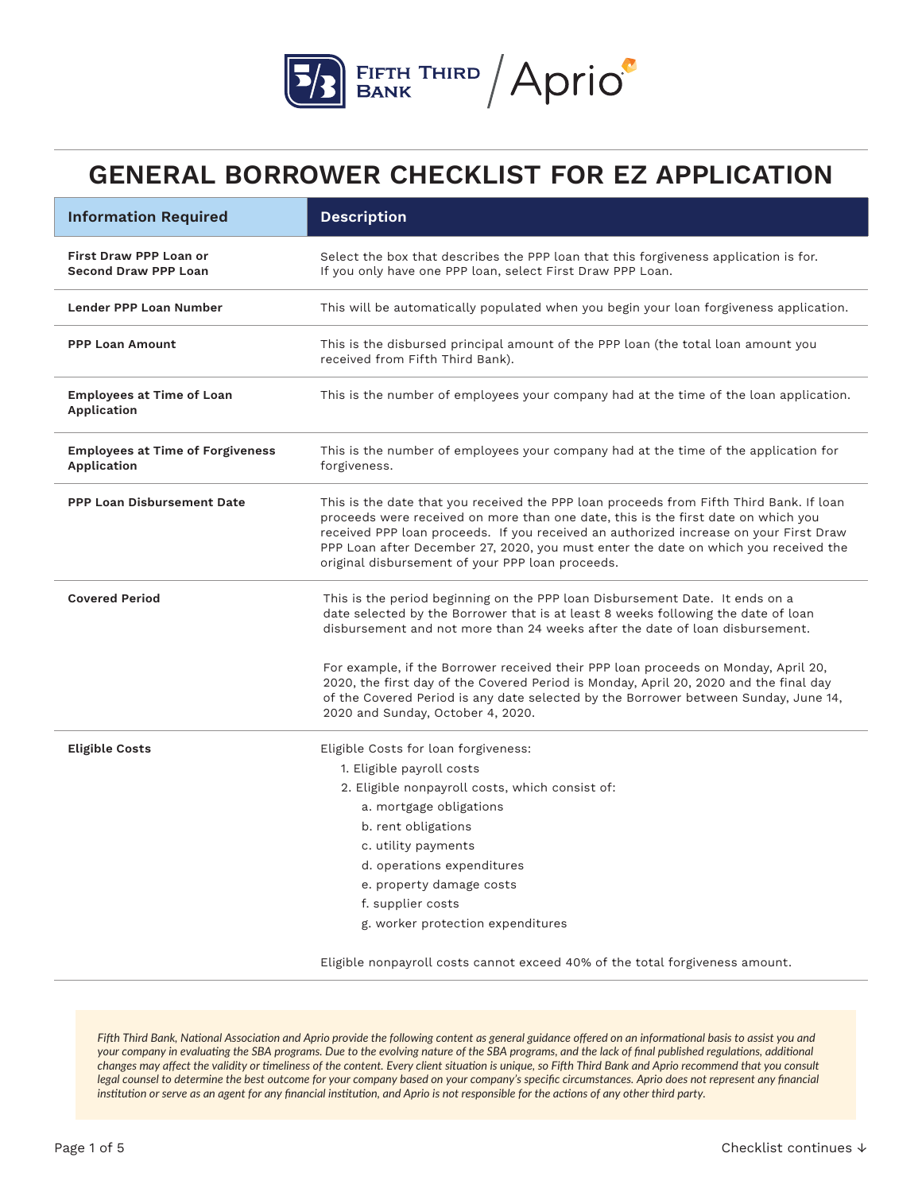

| <b>Information Required</b>                                  | <b>Description</b>                                                                                                                                                                                                                                                                                                                                                                                               |  |  |
|--------------------------------------------------------------|------------------------------------------------------------------------------------------------------------------------------------------------------------------------------------------------------------------------------------------------------------------------------------------------------------------------------------------------------------------------------------------------------------------|--|--|
| <b>First Draw PPP Loan or</b><br><b>Second Draw PPP Loan</b> | Select the box that describes the PPP loan that this forgiveness application is for.<br>If you only have one PPP loan, select First Draw PPP Loan.                                                                                                                                                                                                                                                               |  |  |
| Lender PPP Loan Number                                       | This will be automatically populated when you begin your loan forgiveness application.                                                                                                                                                                                                                                                                                                                           |  |  |
| <b>PPP Loan Amount</b>                                       | This is the disbursed principal amount of the PPP loan (the total loan amount you<br>received from Fifth Third Bank).                                                                                                                                                                                                                                                                                            |  |  |
| <b>Employees at Time of Loan</b><br>Application              | This is the number of employees your company had at the time of the loan application.                                                                                                                                                                                                                                                                                                                            |  |  |
| <b>Employees at Time of Forgiveness</b><br>Application       | This is the number of employees your company had at the time of the application for<br>forgiveness.                                                                                                                                                                                                                                                                                                              |  |  |
| <b>PPP Loan Disbursement Date</b>                            | This is the date that you received the PPP loan proceeds from Fifth Third Bank. If loan<br>proceeds were received on more than one date, this is the first date on which you<br>received PPP loan proceeds. If you received an authorized increase on your First Draw<br>PPP Loan after December 27, 2020, you must enter the date on which you received the<br>original disbursement of your PPP loan proceeds. |  |  |
| <b>Covered Period</b>                                        | This is the period beginning on the PPP loan Disbursement Date. It ends on a<br>date selected by the Borrower that is at least 8 weeks following the date of loan<br>disbursement and not more than 24 weeks after the date of loan disbursement.                                                                                                                                                                |  |  |
|                                                              | For example, if the Borrower received their PPP loan proceeds on Monday, April 20,<br>2020, the first day of the Covered Period is Monday, April 20, 2020 and the final day<br>of the Covered Period is any date selected by the Borrower between Sunday, June 14,<br>2020 and Sunday, October 4, 2020.                                                                                                          |  |  |
| <b>Eligible Costs</b>                                        | Eligible Costs for loan forgiveness:<br>1. Eligible payroll costs<br>2. Eligible nonpayroll costs, which consist of:<br>a. mortgage obligations<br>b. rent obligations<br>c. utility payments<br>d. operations expenditures<br>e. property damage costs<br>f. supplier costs<br>g. worker protection expenditures                                                                                                |  |  |
|                                                              | Eligible nonpayroll costs cannot exceed 40% of the total forgiveness amount.                                                                                                                                                                                                                                                                                                                                     |  |  |

*Fifth Third Bank, National Association and Aprio provide the following content as general guidance offered on an informational basis to assist you and your company in evaluating the SBA programs. Due to the evolving nature of the SBA programs, and the lack of final published regulations, additional changes may affect the validity or timeliness of the content. Every client situation is unique, so Fifth Third Bank and Aprio recommend that you consult legal counsel to determine the best outcome for your company based on your company's specific circumstances. Aprio does not represent any financial institution or serve as an agent for any financial institution, and Aprio is not responsible for the actions of any other third party.*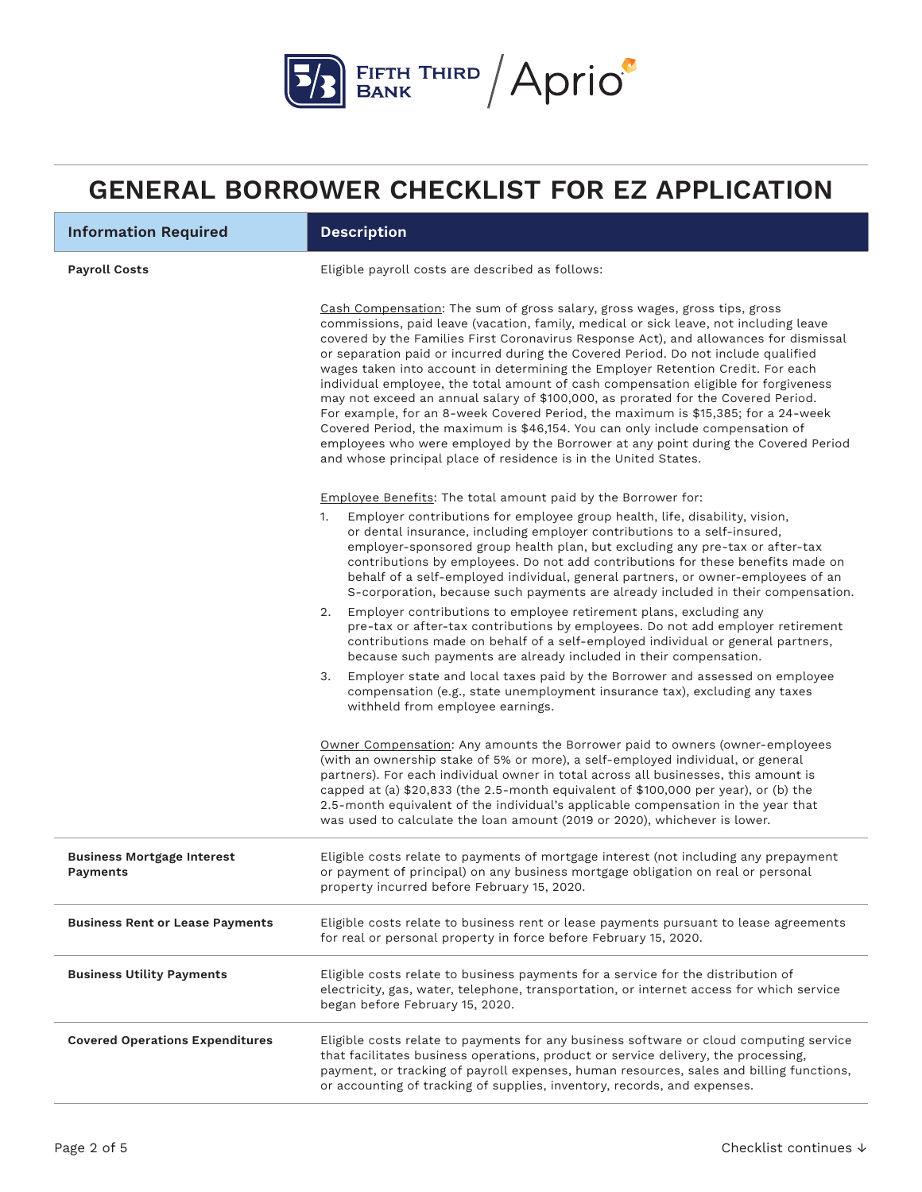

| <b>Information Required</b>                   | <b>Description</b>                                                                                                                                                                                                                                                                                                                                                                                                                                                                                                                                                                                                                                                                                                                                                                                                                                                                                                                               |
|-----------------------------------------------|--------------------------------------------------------------------------------------------------------------------------------------------------------------------------------------------------------------------------------------------------------------------------------------------------------------------------------------------------------------------------------------------------------------------------------------------------------------------------------------------------------------------------------------------------------------------------------------------------------------------------------------------------------------------------------------------------------------------------------------------------------------------------------------------------------------------------------------------------------------------------------------------------------------------------------------------------|
| <b>Payroll Costs</b>                          | Eligible payroll costs are described as follows:                                                                                                                                                                                                                                                                                                                                                                                                                                                                                                                                                                                                                                                                                                                                                                                                                                                                                                 |
|                                               | Cash Compensation: The sum of gross salary, gross wages, gross tips, gross<br>commissions, paid leave (vacation, family, medical or sick leave, not including leave<br>covered by the Families First Coronavirus Response Act), and allowances for dismissal<br>or separation paid or incurred during the Covered Period. Do not include qualified<br>wages taken into account in determining the Employer Retention Credit. For each<br>individual employee, the total amount of cash compensation eligible for forgiveness<br>may not exceed an annual salary of \$100,000, as prorated for the Covered Period.<br>For example, for an 8-week Covered Period, the maximum is \$15,385; for a 24-week<br>Covered Period, the maximum is \$46,154. You can only include compensation of<br>employees who were employed by the Borrower at any point during the Covered Period<br>and whose principal place of residence is in the United States. |
|                                               | Employee Benefits: The total amount paid by the Borrower for:                                                                                                                                                                                                                                                                                                                                                                                                                                                                                                                                                                                                                                                                                                                                                                                                                                                                                    |
|                                               | Employer contributions for employee group health, life, disability, vision,<br>1.<br>or dental insurance, including employer contributions to a self-insured,<br>employer-sponsored group health plan, but excluding any pre-tax or after-tax<br>contributions by employees. Do not add contributions for these benefits made on<br>behalf of a self-employed individual, general partners, or owner-employees of an<br>S-corporation, because such payments are already included in their compensation.                                                                                                                                                                                                                                                                                                                                                                                                                                         |
|                                               | Employer contributions to employee retirement plans, excluding any<br>2.<br>pre-tax or after-tax contributions by employees. Do not add employer retirement<br>contributions made on behalf of a self-employed individual or general partners,<br>because such payments are already included in their compensation.                                                                                                                                                                                                                                                                                                                                                                                                                                                                                                                                                                                                                              |
|                                               | Employer state and local taxes paid by the Borrower and assessed on employee<br>3.<br>compensation (e.g., state unemployment insurance tax), excluding any taxes<br>withheld from employee earnings.                                                                                                                                                                                                                                                                                                                                                                                                                                                                                                                                                                                                                                                                                                                                             |
|                                               | Owner Compensation: Any amounts the Borrower paid to owners (owner-employees<br>(with an ownership stake of 5% or more), a self-employed individual, or general<br>partners). For each individual owner in total across all businesses, this amount is<br>capped at (a) \$20,833 (the 2.5-month equivalent of \$100,000 per year), or (b) the<br>2.5-month equivalent of the individual's applicable compensation in the year that<br>was used to calculate the loan amount (2019 or 2020), whichever is lower.                                                                                                                                                                                                                                                                                                                                                                                                                                  |
| <b>Business Mortgage Interest</b><br>Payments | Eligible costs relate to payments of mortgage interest (not including any prepayment<br>or payment of principal) on any business mortgage obligation on real or personal<br>property incurred before February 15, 2020.                                                                                                                                                                                                                                                                                                                                                                                                                                                                                                                                                                                                                                                                                                                          |
| <b>Business Rent or Lease Payments</b>        | Eligible costs relate to business rent or lease payments pursuant to lease agreements<br>for real or personal property in force before February 15, 2020.                                                                                                                                                                                                                                                                                                                                                                                                                                                                                                                                                                                                                                                                                                                                                                                        |
| <b>Business Utility Payments</b>              | Eligible costs relate to business payments for a service for the distribution of<br>electricity, gas, water, telephone, transportation, or internet access for which service<br>began before February 15, 2020.                                                                                                                                                                                                                                                                                                                                                                                                                                                                                                                                                                                                                                                                                                                                  |
| <b>Covered Operations Expenditures</b>        | Eligible costs relate to payments for any business software or cloud computing service<br>that facilitates business operations, product or service delivery, the processing,<br>payment, or tracking of payroll expenses, human resources, sales and billing functions,<br>or accounting of tracking of supplies, inventory, records, and expenses.                                                                                                                                                                                                                                                                                                                                                                                                                                                                                                                                                                                              |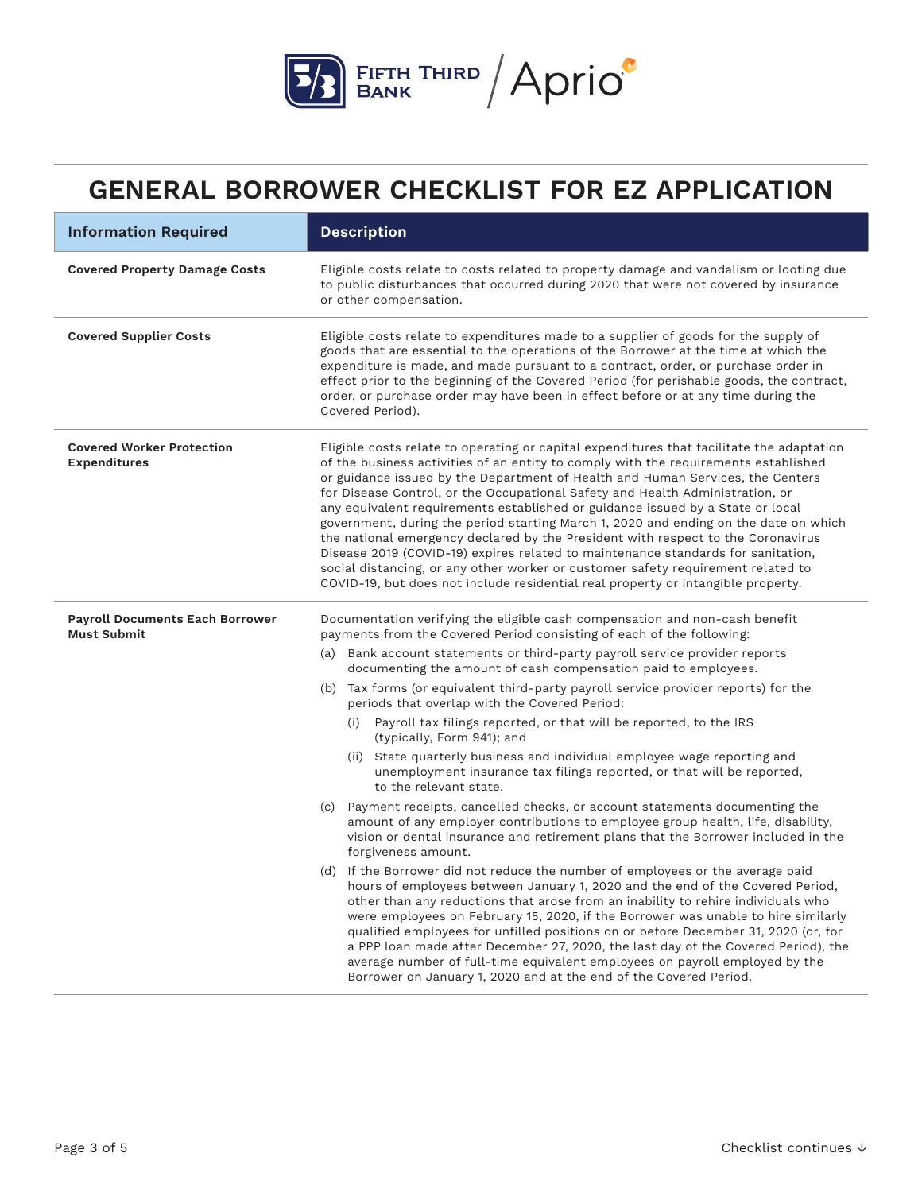

| <b>Information Required</b>                                  | <b>Description</b>                                                                                                                                                                                                                                                                                                                                                                                                                                                                                                                                                                                                                                                                                                                                                                                                                                                            |  |  |
|--------------------------------------------------------------|-------------------------------------------------------------------------------------------------------------------------------------------------------------------------------------------------------------------------------------------------------------------------------------------------------------------------------------------------------------------------------------------------------------------------------------------------------------------------------------------------------------------------------------------------------------------------------------------------------------------------------------------------------------------------------------------------------------------------------------------------------------------------------------------------------------------------------------------------------------------------------|--|--|
| <b>Covered Property Damage Costs</b>                         | Eligible costs relate to costs related to property damage and vandalism or looting due<br>to public disturbances that occurred during 2020 that were not covered by insurance<br>or other compensation.                                                                                                                                                                                                                                                                                                                                                                                                                                                                                                                                                                                                                                                                       |  |  |
| <b>Covered Supplier Costs</b>                                | Eligible costs relate to expenditures made to a supplier of goods for the supply of<br>goods that are essential to the operations of the Borrower at the time at which the<br>expenditure is made, and made pursuant to a contract, order, or purchase order in<br>effect prior to the beginning of the Covered Period (for perishable goods, the contract,<br>order, or purchase order may have been in effect before or at any time during the<br>Covered Period).                                                                                                                                                                                                                                                                                                                                                                                                          |  |  |
| <b>Covered Worker Protection</b><br><b>Expenditures</b>      | Eligible costs relate to operating or capital expenditures that facilitate the adaptation<br>of the business activities of an entity to comply with the requirements established<br>or guidance issued by the Department of Health and Human Services, the Centers<br>for Disease Control, or the Occupational Safety and Health Administration, or<br>any equivalent requirements established or guidance issued by a State or local<br>government, during the period starting March 1, 2020 and ending on the date on which<br>the national emergency declared by the President with respect to the Coronavirus<br>Disease 2019 (COVID-19) expires related to maintenance standards for sanitation,<br>social distancing, or any other worker or customer safety requirement related to<br>COVID-19, but does not include residential real property or intangible property. |  |  |
| <b>Payroll Documents Each Borrower</b><br><b>Must Submit</b> | Documentation verifying the eligible cash compensation and non-cash benefit<br>payments from the Covered Period consisting of each of the following:                                                                                                                                                                                                                                                                                                                                                                                                                                                                                                                                                                                                                                                                                                                          |  |  |
|                                                              | (a) Bank account statements or third-party payroll service provider reports<br>documenting the amount of cash compensation paid to employees.                                                                                                                                                                                                                                                                                                                                                                                                                                                                                                                                                                                                                                                                                                                                 |  |  |
|                                                              | (b) Tax forms (or equivalent third-party payroll service provider reports) for the<br>periods that overlap with the Covered Period:                                                                                                                                                                                                                                                                                                                                                                                                                                                                                                                                                                                                                                                                                                                                           |  |  |
|                                                              | (i) Payroll tax filings reported, or that will be reported, to the IRS<br>(typically, Form 941); and                                                                                                                                                                                                                                                                                                                                                                                                                                                                                                                                                                                                                                                                                                                                                                          |  |  |
|                                                              | (ii) State quarterly business and individual employee wage reporting and<br>unemployment insurance tax filings reported, or that will be reported,<br>to the relevant state.                                                                                                                                                                                                                                                                                                                                                                                                                                                                                                                                                                                                                                                                                                  |  |  |
|                                                              | (c) Payment receipts, cancelled checks, or account statements documenting the<br>amount of any employer contributions to employee group health, life, disability,<br>vision or dental insurance and retirement plans that the Borrower included in the<br>forgiveness amount.                                                                                                                                                                                                                                                                                                                                                                                                                                                                                                                                                                                                 |  |  |
|                                                              | (d) If the Borrower did not reduce the number of employees or the average paid<br>hours of employees between January 1, 2020 and the end of the Covered Period,<br>other than any reductions that arose from an inability to rehire individuals who<br>were employees on February 15, 2020, if the Borrower was unable to hire similarly<br>qualified employees for unfilled positions on or before December 31, 2020 (or, for<br>a PPP loan made after December 27, 2020, the last day of the Covered Period), the<br>average number of full-time equivalent employees on payroll employed by the<br>Borrower on January 1, 2020 and at the end of the Covered Period.                                                                                                                                                                                                       |  |  |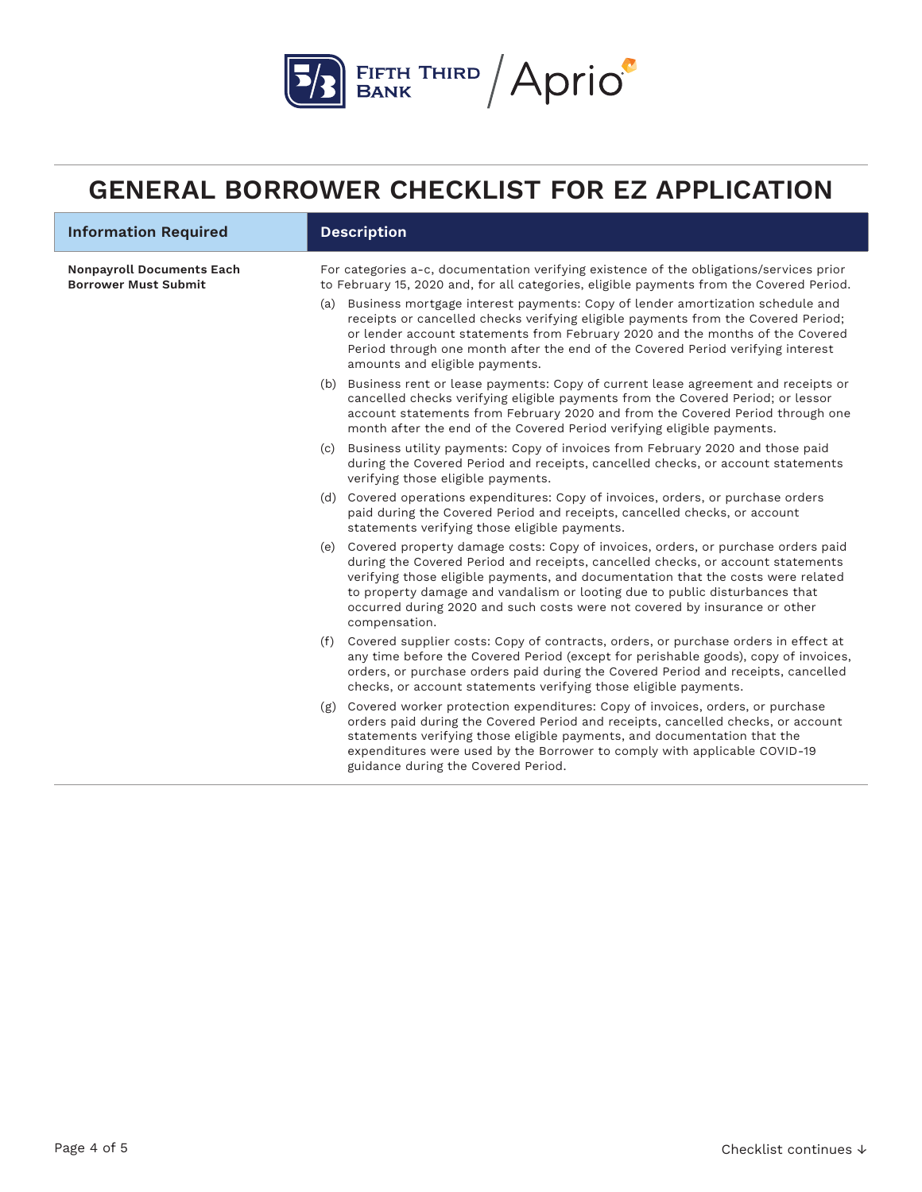

| <b>Information Required</b>                                     | <b>Description</b> |                                                                                                                                                                                                                                                                                                                                                                                                                                           |  |  |
|-----------------------------------------------------------------|--------------------|-------------------------------------------------------------------------------------------------------------------------------------------------------------------------------------------------------------------------------------------------------------------------------------------------------------------------------------------------------------------------------------------------------------------------------------------|--|--|
| <b>Nonpayroll Documents Each</b><br><b>Borrower Must Submit</b> |                    | For categories a-c, documentation verifying existence of the obligations/services prior<br>to February 15, 2020 and, for all categories, eligible payments from the Covered Period.                                                                                                                                                                                                                                                       |  |  |
|                                                                 | (a)                | Business mortgage interest payments: Copy of lender amortization schedule and<br>receipts or cancelled checks verifying eligible payments from the Covered Period;<br>or lender account statements from February 2020 and the months of the Covered<br>Period through one month after the end of the Covered Period verifying interest<br>amounts and eligible payments.                                                                  |  |  |
|                                                                 |                    | (b) Business rent or lease payments: Copy of current lease agreement and receipts or<br>cancelled checks verifying eligible payments from the Covered Period; or lessor<br>account statements from February 2020 and from the Covered Period through one<br>month after the end of the Covered Period verifying eligible payments.                                                                                                        |  |  |
|                                                                 | (c)                | Business utility payments: Copy of invoices from February 2020 and those paid<br>during the Covered Period and receipts, cancelled checks, or account statements<br>verifying those eligible payments.                                                                                                                                                                                                                                    |  |  |
|                                                                 |                    | (d) Covered operations expenditures: Copy of invoices, orders, or purchase orders<br>paid during the Covered Period and receipts, cancelled checks, or account<br>statements verifying those eligible payments.                                                                                                                                                                                                                           |  |  |
|                                                                 |                    | (e) Covered property damage costs: Copy of invoices, orders, or purchase orders paid<br>during the Covered Period and receipts, cancelled checks, or account statements<br>verifying those eligible payments, and documentation that the costs were related<br>to property damage and vandalism or looting due to public disturbances that<br>occurred during 2020 and such costs were not covered by insurance or other<br>compensation. |  |  |
|                                                                 |                    | (f) Covered supplier costs: Copy of contracts, orders, or purchase orders in effect at<br>any time before the Covered Period (except for perishable goods), copy of invoices,<br>orders, or purchase orders paid during the Covered Period and receipts, cancelled<br>checks, or account statements verifying those eligible payments.                                                                                                    |  |  |
|                                                                 | (g)                | Covered worker protection expenditures: Copy of invoices, orders, or purchase<br>orders paid during the Covered Period and receipts, cancelled checks, or account<br>statements verifying those eligible payments, and documentation that the<br>expenditures were used by the Borrower to comply with applicable COVID-19<br>guidance during the Covered Period.                                                                         |  |  |